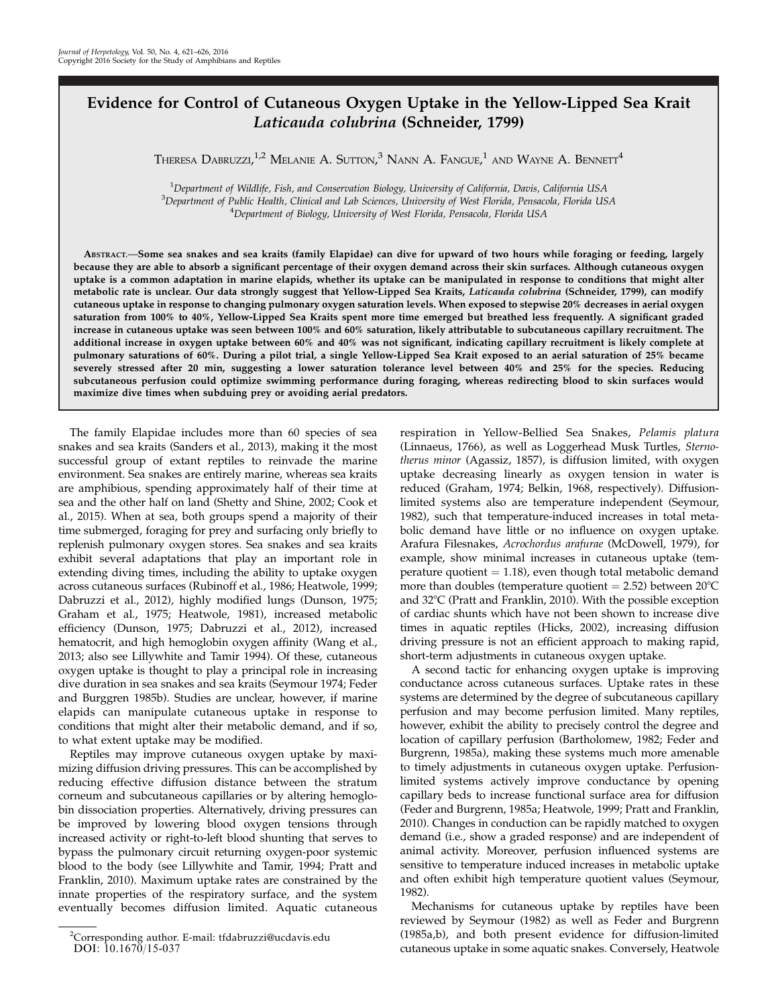## Evidence for Control of Cutaneous Oxygen Uptake in the Yellow-Lipped Sea Krait Laticauda colubrina (Schneider, 1799)

Theresa Dabruzzi, $^{1,2}$  Melanie A. Sutton, $^3$  Nann A. Fangue, $^1$  and Wayne A. Bennett $^4$ 

<sup>1</sup> Department of Wildlife, Fish, and Conservation Biology, University of California, Davis, California USA<br><sup>3</sup> Department of Public Health, Clinical and Lab Sciences, University of West Florida, Pensecola, Florida US <sup>3</sup>Department of Public Health, Clinical and Lab Sciences, University of West Florida, Pensacola, Florida USA <sup>4</sup>Department of Biology, University of West Florida, Pensacola, Florida USA

ABSTRACT.—Some sea snakes and sea kraits (family Elapidae) can dive for upward of two hours while foraging or feeding, largely because they are able to absorb a significant percentage of their oxygen demand across their skin surfaces. Although cutaneous oxygen uptake is a common adaptation in marine elapids, whether its uptake can be manipulated in response to conditions that might alter metabolic rate is unclear. Our data strongly suggest that Yellow-Lipped Sea Kraits, Laticauda colubrina (Schneider, 1799), can modify cutaneous uptake in response to changing pulmonary oxygen saturation levels. When exposed to stepwise 20% decreases in aerial oxygen saturation from 100% to 40%, Yellow-Lipped Sea Kraits spent more time emerged but breathed less frequently. A significant graded increase in cutaneous uptake was seen between 100% and 60% saturation, likely attributable to subcutaneous capillary recruitment. The additional increase in oxygen uptake between 60% and 40% was not significant, indicating capillary recruitment is likely complete at pulmonary saturations of 60%. During a pilot trial, a single Yellow-Lipped Sea Krait exposed to an aerial saturation of 25% became severely stressed after 20 min, suggesting a lower saturation tolerance level between 40% and 25% for the species. Reducing subcutaneous perfusion could optimize swimming performance during foraging, whereas redirecting blood to skin surfaces would maximize dive times when subduing prey or avoiding aerial predators.

The family Elapidae includes more than 60 species of sea snakes and sea kraits (Sanders et al., 2013), making it the most successful group of extant reptiles to reinvade the marine environment. Sea snakes are entirely marine, whereas sea kraits are amphibious, spending approximately half of their time at sea and the other half on land (Shetty and Shine, 2002; Cook et al., 2015). When at sea, both groups spend a majority of their time submerged, foraging for prey and surfacing only briefly to replenish pulmonary oxygen stores. Sea snakes and sea kraits exhibit several adaptations that play an important role in extending diving times, including the ability to uptake oxygen across cutaneous surfaces (Rubinoff et al., 1986; Heatwole, 1999; Dabruzzi et al., 2012), highly modified lungs (Dunson, 1975; Graham et al., 1975; Heatwole, 1981), increased metabolic efficiency (Dunson, 1975; Dabruzzi et al., 2012), increased hematocrit, and high hemoglobin oxygen affinity (Wang et al., 2013; also see Lillywhite and Tamir 1994). Of these, cutaneous oxygen uptake is thought to play a principal role in increasing dive duration in sea snakes and sea kraits (Seymour 1974; Feder and Burggren 1985b). Studies are unclear, however, if marine elapids can manipulate cutaneous uptake in response to conditions that might alter their metabolic demand, and if so, to what extent uptake may be modified.

Reptiles may improve cutaneous oxygen uptake by maximizing diffusion driving pressures. This can be accomplished by reducing effective diffusion distance between the stratum corneum and subcutaneous capillaries or by altering hemoglobin dissociation properties. Alternatively, driving pressures can be improved by lowering blood oxygen tensions through increased activity or right-to-left blood shunting that serves to bypass the pulmonary circuit returning oxygen-poor systemic blood to the body (see Lillywhite and Tamir, 1994; Pratt and Franklin, 2010). Maximum uptake rates are constrained by the innate properties of the respiratory surface, and the system eventually becomes diffusion limited. Aquatic cutaneous

respiration in Yellow-Bellied Sea Snakes, Pelamis platura (Linnaeus, 1766), as well as Loggerhead Musk Turtles, Sternotherus minor (Agassiz, 1857), is diffusion limited, with oxygen uptake decreasing linearly as oxygen tension in water is reduced (Graham, 1974; Belkin, 1968, respectively). Diffusionlimited systems also are temperature independent (Seymour, 1982), such that temperature-induced increases in total metabolic demand have little or no influence on oxygen uptake. Arafura Filesnakes, Acrochordus arafurae (McDowell, 1979), for example, show minimal increases in cutaneous uptake (temperature quotient  $= 1.18$ ), even though total metabolic demand more than doubles (temperature quotient  $= 2.52$ ) between 20 $^{\circ}$ C and 32°C (Pratt and Franklin, 2010). With the possible exception of cardiac shunts which have not been shown to increase dive times in aquatic reptiles (Hicks, 2002), increasing diffusion driving pressure is not an efficient approach to making rapid, short-term adjustments in cutaneous oxygen uptake.

A second tactic for enhancing oxygen uptake is improving conductance across cutaneous surfaces. Uptake rates in these systems are determined by the degree of subcutaneous capillary perfusion and may become perfusion limited. Many reptiles, however, exhibit the ability to precisely control the degree and location of capillary perfusion (Bartholomew, 1982; Feder and Burgrenn, 1985a), making these systems much more amenable to timely adjustments in cutaneous oxygen uptake. Perfusionlimited systems actively improve conductance by opening capillary beds to increase functional surface area for diffusion (Feder and Burgrenn, 1985a; Heatwole, 1999; Pratt and Franklin, 2010). Changes in conduction can be rapidly matched to oxygen demand (i.e., show a graded response) and are independent of animal activity. Moreover, perfusion influenced systems are sensitive to temperature induced increases in metabolic uptake and often exhibit high temperature quotient values (Seymour, 1982).

Mechanisms for cutaneous uptake by reptiles have been reviewed by Seymour (1982) as well as Feder and Burgrenn (1985a,b), and both present evidence for diffusion-limited cutaneous uptake in some aquatic snakes. Conversely, Heatwole

<sup>2</sup> Corresponding author. E-mail: tfdabruzzi@ucdavis.edu DOI: 10.1670/15-037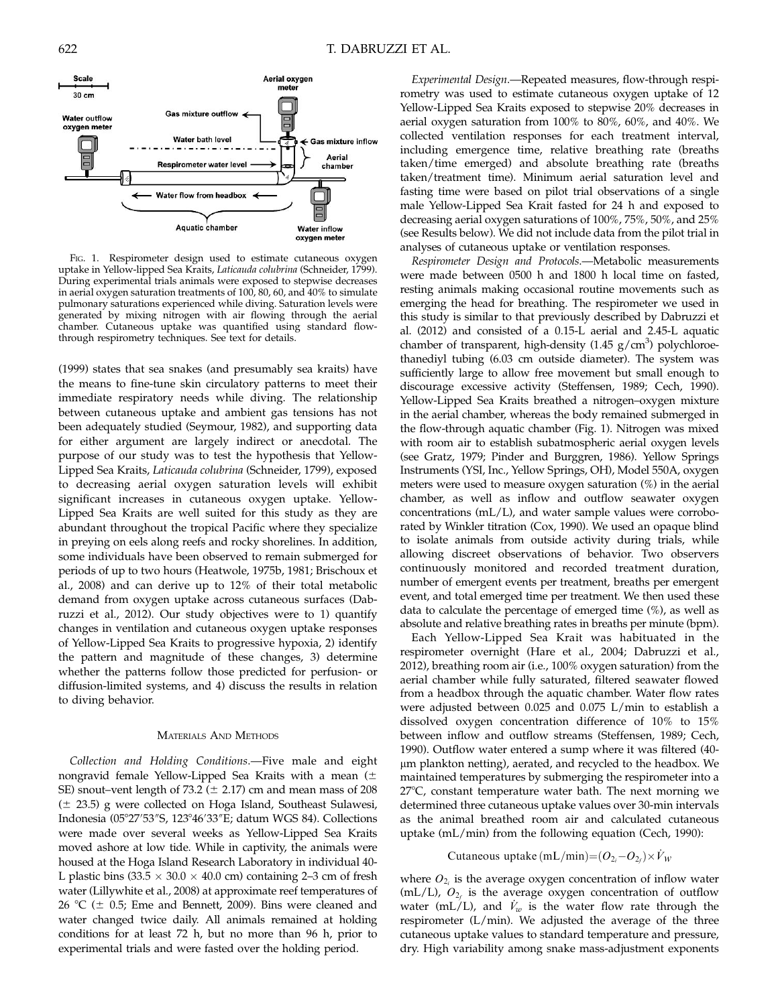

FIG. 1. Respirometer design used to estimate cutaneous oxygen uptake in Yellow-lipped Sea Kraits, Laticauda colubrina (Schneider, 1799). During experimental trials animals were exposed to stepwise decreases in aerial oxygen saturation treatments of 100, 80, 60, and 40% to simulate pulmonary saturations experienced while diving. Saturation levels were generated by mixing nitrogen with air flowing through the aerial chamber. Cutaneous uptake was quantified using standard flowthrough respirometry techniques. See text for details.

(1999) states that sea snakes (and presumably sea kraits) have the means to fine-tune skin circulatory patterns to meet their immediate respiratory needs while diving. The relationship between cutaneous uptake and ambient gas tensions has not been adequately studied (Seymour, 1982), and supporting data for either argument are largely indirect or anecdotal. The purpose of our study was to test the hypothesis that Yellow-Lipped Sea Kraits, Laticauda colubrina (Schneider, 1799), exposed to decreasing aerial oxygen saturation levels will exhibit significant increases in cutaneous oxygen uptake. Yellow-Lipped Sea Kraits are well suited for this study as they are abundant throughout the tropical Pacific where they specialize in preying on eels along reefs and rocky shorelines. In addition, some individuals have been observed to remain submerged for periods of up to two hours (Heatwole, 1975b, 1981; Brischoux et al., 2008) and can derive up to 12% of their total metabolic demand from oxygen uptake across cutaneous surfaces (Dabruzzi et al., 2012). Our study objectives were to 1) quantify changes in ventilation and cutaneous oxygen uptake responses of Yellow-Lipped Sea Kraits to progressive hypoxia, 2) identify the pattern and magnitude of these changes, 3) determine whether the patterns follow those predicted for perfusion- or diffusion-limited systems, and 4) discuss the results in relation to diving behavior.

#### MATERIALS AND METHODS

Collection and Holding Conditions.—Five male and eight nongravid female Yellow-Lipped Sea Kraits with a mean  $(\pm$ SE) snout–vent length of 73.2 ( $\pm$  2.17) cm and mean mass of 208  $(\pm 23.5)$  g were collected on Hoga Island, Southeast Sulawesi, Indonesia (05°27′53″S, 123°46′33″E; datum WGS 84). Collections were made over several weeks as Yellow-Lipped Sea Kraits moved ashore at low tide. While in captivity, the animals were housed at the Hoga Island Research Laboratory in individual 40- L plastic bins  $(33.5 \times 30.0 \times 40.0 \text{ cm})$  containing 2–3 cm of fresh water (Lillywhite et al., 2008) at approximate reef temperatures of 26 °C ( $\pm$  0.5; Eme and Bennett, 2009). Bins were cleaned and water changed twice daily. All animals remained at holding conditions for at least 72 h, but no more than 96 h, prior to experimental trials and were fasted over the holding period.

Experimental Design.—Repeated measures, flow-through respirometry was used to estimate cutaneous oxygen uptake of 12 Yellow-Lipped Sea Kraits exposed to stepwise 20% decreases in aerial oxygen saturation from 100% to 80%, 60%, and 40%. We collected ventilation responses for each treatment interval, including emergence time, relative breathing rate (breaths taken/time emerged) and absolute breathing rate (breaths taken/treatment time). Minimum aerial saturation level and fasting time were based on pilot trial observations of a single male Yellow-Lipped Sea Krait fasted for 24 h and exposed to decreasing aerial oxygen saturations of 100%, 75%, 50%, and 25% (see Results below). We did not include data from the pilot trial in analyses of cutaneous uptake or ventilation responses.

Respirometer Design and Protocols.—Metabolic measurements were made between 0500 h and 1800 h local time on fasted, resting animals making occasional routine movements such as emerging the head for breathing. The respirometer we used in this study is similar to that previously described by Dabruzzi et al. (2012) and consisted of a 0.15-L aerial and 2.45-L aquatic chamber of transparent, high-density  $(1.45 \text{ g/cm}^3)$  polychloroethanediyl tubing (6.03 cm outside diameter). The system was sufficiently large to allow free movement but small enough to discourage excessive activity (Steffensen, 1989; Cech, 1990). Yellow-Lipped Sea Kraits breathed a nitrogen–oxygen mixture in the aerial chamber, whereas the body remained submerged in the flow-through aquatic chamber (Fig. 1). Nitrogen was mixed with room air to establish subatmospheric aerial oxygen levels (see Gratz, 1979; Pinder and Burggren, 1986). Yellow Springs Instruments (YSI, Inc., Yellow Springs, OH), Model 550A, oxygen meters were used to measure oxygen saturation (%) in the aerial chamber, as well as inflow and outflow seawater oxygen concentrations (mL/L), and water sample values were corroborated by Winkler titration (Cox, 1990). We used an opaque blind to isolate animals from outside activity during trials, while allowing discreet observations of behavior. Two observers continuously monitored and recorded treatment duration, number of emergent events per treatment, breaths per emergent event, and total emerged time per treatment. We then used these data to calculate the percentage of emerged time (%), as well as absolute and relative breathing rates in breaths per minute (bpm).

Each Yellow-Lipped Sea Krait was habituated in the respirometer overnight (Hare et al., 2004; Dabruzzi et al., 2012), breathing room air (i.e., 100% oxygen saturation) from the aerial chamber while fully saturated, filtered seawater flowed from a headbox through the aquatic chamber. Water flow rates were adjusted between 0.025 and 0.075 L/min to establish a dissolved oxygen concentration difference of 10% to 15% between inflow and outflow streams (Steffensen, 1989; Cech, 1990). Outflow water entered a sump where it was filtered (40 lm plankton netting), aerated, and recycled to the headbox. We maintained temperatures by submerging the respirometer into a  $27^{\circ}$ C, constant temperature water bath. The next morning we determined three cutaneous uptake values over 30-min intervals as the animal breathed room air and calculated cutaneous uptake (mL/min) from the following equation (Cech, 1990):

# Cutaneous uptake  $(mL/min)=(O_{2i}-O_{2f})\times \dot{V}_W$

where  $O_{2<sub>i</sub>}$  is the average oxygen concentration of inflow water (mL/L),  $O_{2f}$  is the average oxygen concentration of outflow water (mL/L), and  $V_w$  is the water flow rate through the respirometer (L/min). We adjusted the average of the three cutaneous uptake values to standard temperature and pressure, dry. High variability among snake mass-adjustment exponents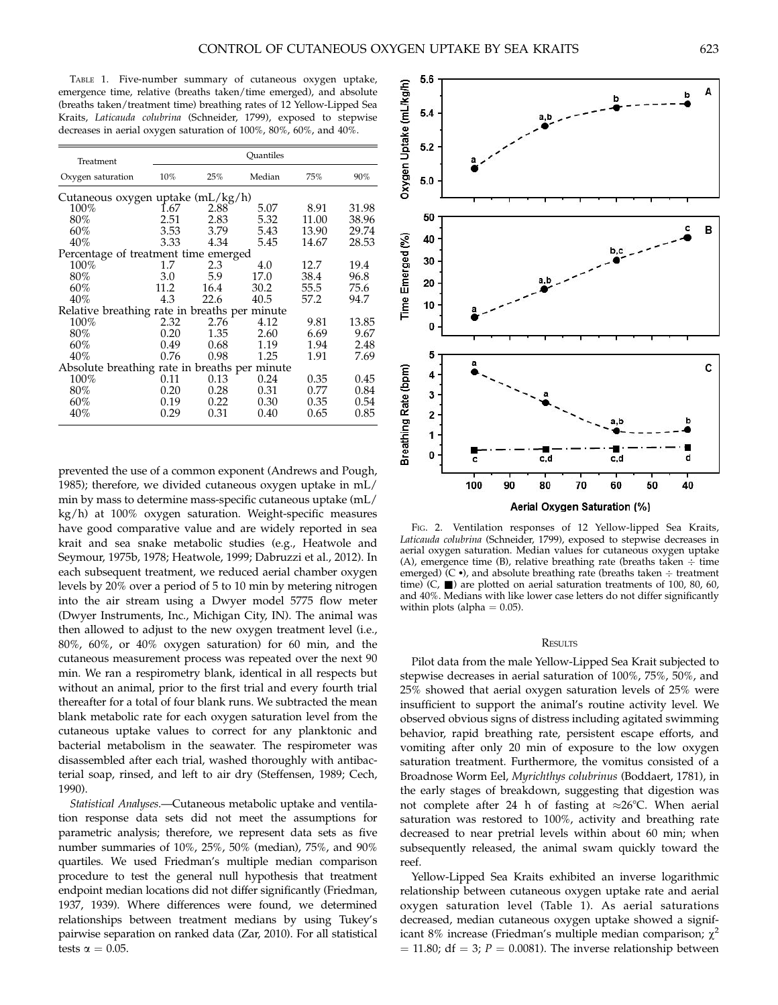TABLE 1. Five-number summary of cutaneous oxygen uptake, emergence time, relative (breaths taken/time emerged), and absolute (breaths taken/treatment time) breathing rates of 12 Yellow-Lipped Sea Kraits, Laticauda colubrina (Schneider, 1799), exposed to stepwise decreases in aerial oxygen saturation of 100%, 80%, 60%, and 40%.

| Treatment                                     |             | Ouantiles |        |       |       |  |
|-----------------------------------------------|-------------|-----------|--------|-------|-------|--|
| Oxygen saturation                             | $10\%$      | 25%       | Median | 75%   | 90%   |  |
| Cutaneous oxygen uptake (mL/kg/h)             |             |           |        |       |       |  |
| 100%                                          | <b>1.67</b> | 2.88      | 5.07   | 8.91  | 31.98 |  |
| 80%                                           | 2.51        | 2.83      | 5.32   | 11.00 | 38.96 |  |
| 60%                                           | 3.53        | 3.79      | 5.43   | 13.90 | 29.74 |  |
| 40%                                           | 3.33        | 4.34      | 5.45   | 14.67 | 28.53 |  |
| Percentage of treatment time emerged          |             |           |        |       |       |  |
| 100%                                          | 1.7         | 2.3       | 4.0    | 12.7  | 19.4  |  |
| 80%                                           | 3.0         | 5.9       | 17.0   | 38.4  | 96.8  |  |
| 60%                                           | 11.2        | 16.4      | 30.2   | 55.5  | 75.6  |  |
| 40%                                           | 4.3         | 22.6      | 40.5   | 57.2  | 94.7  |  |
| Relative breathing rate in breaths per minute |             |           |        |       |       |  |
| $100\%$                                       | 2.32        | 2.76      | 4.12   | 9.81  | 13.85 |  |
| 80%                                           | 0.20        | 1.35      | 2.60   | 6.69  | 9.67  |  |
| 60%                                           | 0.49        | 0.68      | 1.19   | 1.94  | 2.48  |  |
| 40%                                           | 0.76        | 0.98      | 1.25   | 1.91  | 7.69  |  |
| Absolute breathing rate in breaths per minute |             |           |        |       |       |  |
| 100%                                          | 0.11        | 0.13      | 0.24   | 0.35  | 0.45  |  |
| 80%                                           | 0.20        | 0.28      | 0.31   | 0.77  | 0.84  |  |
| 60%                                           | 0.19        | 0.22      | 0.30   | 0.35  | 0.54  |  |
| 40%                                           | 0.29        | 0.31      | 0.40   | 0.65  | 0.85  |  |

prevented the use of a common exponent (Andrews and Pough, 1985); therefore, we divided cutaneous oxygen uptake in mL/ min by mass to determine mass-specific cutaneous uptake (mL/ kg/h) at 100% oxygen saturation. Weight-specific measures have good comparative value and are widely reported in sea krait and sea snake metabolic studies (e.g., Heatwole and Seymour, 1975b, 1978; Heatwole, 1999; Dabruzzi et al., 2012). In each subsequent treatment, we reduced aerial chamber oxygen levels by 20% over a period of 5 to 10 min by metering nitrogen into the air stream using a Dwyer model 5775 flow meter (Dwyer Instruments, Inc., Michigan City, IN). The animal was then allowed to adjust to the new oxygen treatment level (i.e., 80%, 60%, or 40% oxygen saturation) for 60 min, and the cutaneous measurement process was repeated over the next 90 min. We ran a respirometry blank, identical in all respects but without an animal, prior to the first trial and every fourth trial thereafter for a total of four blank runs. We subtracted the mean blank metabolic rate for each oxygen saturation level from the cutaneous uptake values to correct for any planktonic and bacterial metabolism in the seawater. The respirometer was disassembled after each trial, washed thoroughly with antibacterial soap, rinsed, and left to air dry (Steffensen, 1989; Cech, 1990).

Statistical Analyses.—Cutaneous metabolic uptake and ventilation response data sets did not meet the assumptions for parametric analysis; therefore, we represent data sets as five number summaries of 10%, 25%, 50% (median), 75%, and 90% quartiles. We used Friedman's multiple median comparison procedure to test the general null hypothesis that treatment endpoint median locations did not differ significantly (Friedman, 1937, 1939). Where differences were found, we determined relationships between treatment medians by using Tukey's pairwise separation on ranked data (Zar, 2010). For all statistical tests  $\alpha = 0.05$ .



FIG. 2. Ventilation responses of 12 Yellow-lipped Sea Kraits, Laticauda colubrina (Schneider, 1799), exposed to stepwise decreases in aerial oxygen saturation. Median values for cutaneous oxygen uptake (A), emergence time (B), relative breathing rate (breaths taken  $\div$  time emerged)  $(C \bullet)$ , and absolute breathing rate (breaths taken  $\div$  treatment time) (C,  $\blacksquare$ ) are plotted on aerial saturation treatments of 100, 80, 60, and 40%. Medians with like lower case letters do not differ significantly within plots (alpha  $= 0.05$ ).

#### **RESULTS**

Pilot data from the male Yellow-Lipped Sea Krait subjected to stepwise decreases in aerial saturation of 100%, 75%, 50%, and 25% showed that aerial oxygen saturation levels of 25% were insufficient to support the animal's routine activity level. We observed obvious signs of distress including agitated swimming behavior, rapid breathing rate, persistent escape efforts, and vomiting after only 20 min of exposure to the low oxygen saturation treatment. Furthermore, the vomitus consisted of a Broadnose Worm Eel, Myrichthys colubrinus (Boddaert, 1781), in the early stages of breakdown, suggesting that digestion was not complete after 24 h of fasting at  $\approx 26^{\circ}$ C. When aerial saturation was restored to 100%, activity and breathing rate decreased to near pretrial levels within about 60 min; when subsequently released, the animal swam quickly toward the reef.

Yellow-Lipped Sea Kraits exhibited an inverse logarithmic relationship between cutaneous oxygen uptake rate and aerial oxygen saturation level (Table 1). As aerial saturations decreased, median cutaneous oxygen uptake showed a significant 8% increase (Friedman's multiple median comparison;  $\chi^2$  $= 11.80$ ; df  $= 3$ ;  $P = 0.0081$ ). The inverse relationship between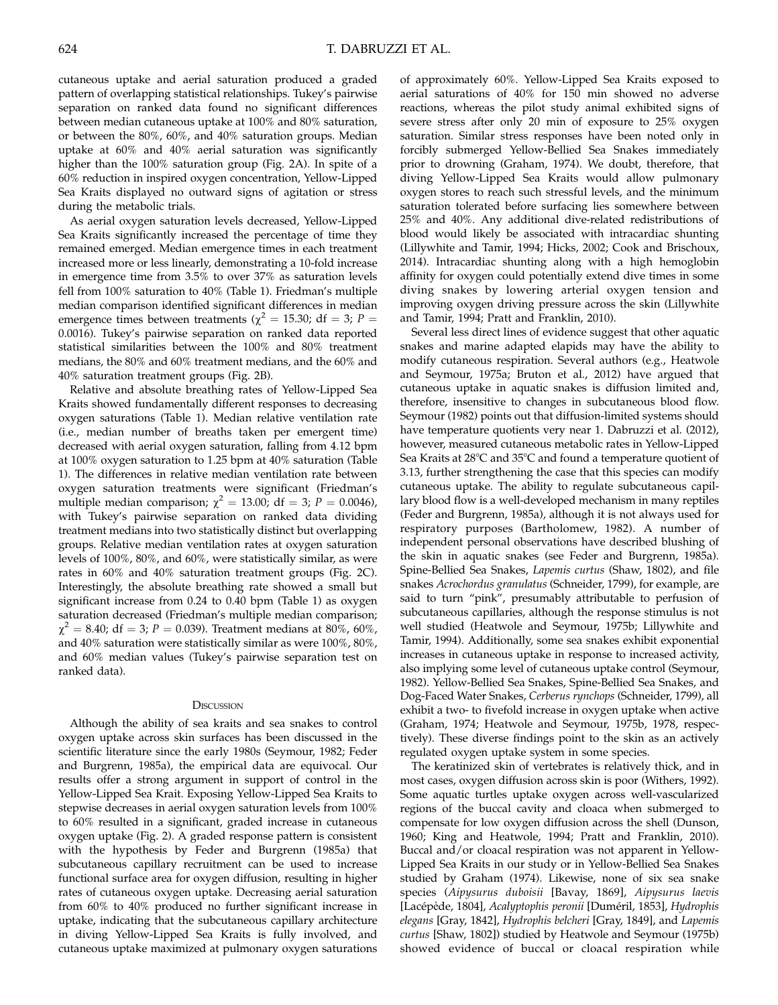cutaneous uptake and aerial saturation produced a graded pattern of overlapping statistical relationships. Tukey's pairwise separation on ranked data found no significant differences between median cutaneous uptake at 100% and 80% saturation, or between the 80%, 60%, and 40% saturation groups. Median uptake at 60% and 40% aerial saturation was significantly higher than the 100% saturation group (Fig. 2A). In spite of a 60% reduction in inspired oxygen concentration, Yellow-Lipped Sea Kraits displayed no outward signs of agitation or stress during the metabolic trials.

As aerial oxygen saturation levels decreased, Yellow-Lipped Sea Kraits significantly increased the percentage of time they remained emerged. Median emergence times in each treatment increased more or less linearly, demonstrating a 10-fold increase in emergence time from 3.5% to over 37% as saturation levels fell from 100% saturation to 40% (Table 1). Friedman's multiple median comparison identified significant differences in median emergence times between treatments ( $\chi^2$  = 15.30; df = 3; P = 0.0016). Tukey's pairwise separation on ranked data reported statistical similarities between the 100% and 80% treatment medians, the 80% and 60% treatment medians, and the 60% and 40% saturation treatment groups (Fig. 2B).

Relative and absolute breathing rates of Yellow-Lipped Sea Kraits showed fundamentally different responses to decreasing oxygen saturations (Table 1). Median relative ventilation rate (i.e., median number of breaths taken per emergent time) decreased with aerial oxygen saturation, falling from 4.12 bpm at 100% oxygen saturation to 1.25 bpm at 40% saturation (Table 1). The differences in relative median ventilation rate between oxygen saturation treatments were significant (Friedman's multiple median comparison;  $\chi^2 = 13.00$ ; df = 3; P = 0.0046), with Tukey's pairwise separation on ranked data dividing treatment medians into two statistically distinct but overlapping groups. Relative median ventilation rates at oxygen saturation levels of 100%, 80%, and 60%, were statistically similar, as were rates in 60% and 40% saturation treatment groups (Fig. 2C). Interestingly, the absolute breathing rate showed a small but significant increase from 0.24 to 0.40 bpm (Table 1) as oxygen saturation decreased (Friedman's multiple median comparison;  $\chi^2 = 8.40$ ; df = 3; P = 0.039). Treatment medians at 80%, 60%, and 40% saturation were statistically similar as were 100%, 80%, and 60% median values (Tukey's pairwise separation test on ranked data).

#### **DISCUSSION**

Although the ability of sea kraits and sea snakes to control oxygen uptake across skin surfaces has been discussed in the scientific literature since the early 1980s (Seymour, 1982; Feder and Burgrenn, 1985a), the empirical data are equivocal. Our results offer a strong argument in support of control in the Yellow-Lipped Sea Krait. Exposing Yellow-Lipped Sea Kraits to stepwise decreases in aerial oxygen saturation levels from 100% to 60% resulted in a significant, graded increase in cutaneous oxygen uptake (Fig. 2). A graded response pattern is consistent with the hypothesis by Feder and Burgrenn (1985a) that subcutaneous capillary recruitment can be used to increase functional surface area for oxygen diffusion, resulting in higher rates of cutaneous oxygen uptake. Decreasing aerial saturation from 60% to 40% produced no further significant increase in uptake, indicating that the subcutaneous capillary architecture in diving Yellow-Lipped Sea Kraits is fully involved, and cutaneous uptake maximized at pulmonary oxygen saturations

of approximately 60%. Yellow-Lipped Sea Kraits exposed to aerial saturations of 40% for 150 min showed no adverse reactions, whereas the pilot study animal exhibited signs of severe stress after only 20 min of exposure to 25% oxygen saturation. Similar stress responses have been noted only in forcibly submerged Yellow-Bellied Sea Snakes immediately prior to drowning (Graham, 1974). We doubt, therefore, that diving Yellow-Lipped Sea Kraits would allow pulmonary oxygen stores to reach such stressful levels, and the minimum saturation tolerated before surfacing lies somewhere between 25% and 40%. Any additional dive-related redistributions of blood would likely be associated with intracardiac shunting (Lillywhite and Tamir, 1994; Hicks, 2002; Cook and Brischoux, 2014). Intracardiac shunting along with a high hemoglobin affinity for oxygen could potentially extend dive times in some diving snakes by lowering arterial oxygen tension and improving oxygen driving pressure across the skin (Lillywhite and Tamir, 1994; Pratt and Franklin, 2010).

Several less direct lines of evidence suggest that other aquatic snakes and marine adapted elapids may have the ability to modify cutaneous respiration. Several authors (e.g., Heatwole and Seymour, 1975a; Bruton et al., 2012) have argued that cutaneous uptake in aquatic snakes is diffusion limited and, therefore, insensitive to changes in subcutaneous blood flow. Seymour (1982) points out that diffusion-limited systems should have temperature quotients very near 1. Dabruzzi et al. (2012), however, measured cutaneous metabolic rates in Yellow-Lipped Sea Kraits at  $28^{\circ}$ C and  $35^{\circ}$ C and found a temperature quotient of 3.13, further strengthening the case that this species can modify cutaneous uptake. The ability to regulate subcutaneous capillary blood flow is a well-developed mechanism in many reptiles (Feder and Burgrenn, 1985a), although it is not always used for respiratory purposes (Bartholomew, 1982). A number of independent personal observations have described blushing of the skin in aquatic snakes (see Feder and Burgrenn, 1985a). Spine-Bellied Sea Snakes, Lapemis curtus (Shaw, 1802), and file snakes Acrochordus granulatus (Schneider, 1799), for example, are said to turn "pink", presumably attributable to perfusion of subcutaneous capillaries, although the response stimulus is not well studied (Heatwole and Seymour, 1975b; Lillywhite and Tamir, 1994). Additionally, some sea snakes exhibit exponential increases in cutaneous uptake in response to increased activity, also implying some level of cutaneous uptake control (Seymour, 1982). Yellow-Bellied Sea Snakes, Spine-Bellied Sea Snakes, and Dog-Faced Water Snakes, Cerberus rynchops (Schneider, 1799), all exhibit a two- to fivefold increase in oxygen uptake when active (Graham, 1974; Heatwole and Seymour, 1975b, 1978, respectively). These diverse findings point to the skin as an actively regulated oxygen uptake system in some species.

The keratinized skin of vertebrates is relatively thick, and in most cases, oxygen diffusion across skin is poor (Withers, 1992). Some aquatic turtles uptake oxygen across well-vascularized regions of the buccal cavity and cloaca when submerged to compensate for low oxygen diffusion across the shell (Dunson, 1960; King and Heatwole, 1994; Pratt and Franklin, 2010). Buccal and/or cloacal respiration was not apparent in Yellow-Lipped Sea Kraits in our study or in Yellow-Bellied Sea Snakes studied by Graham (1974). Likewise, none of six sea snake species (Aipysurus duboisii [Bavay, 1869], Aipysurus laevis [Lacépède, 1804], Acalyptophis peronii [Duméril, 1853], Hydrophis elegans [Gray, 1842], Hydrophis belcheri [Gray, 1849], and Lapemis curtus [Shaw, 1802]) studied by Heatwole and Seymour (1975b) showed evidence of buccal or cloacal respiration while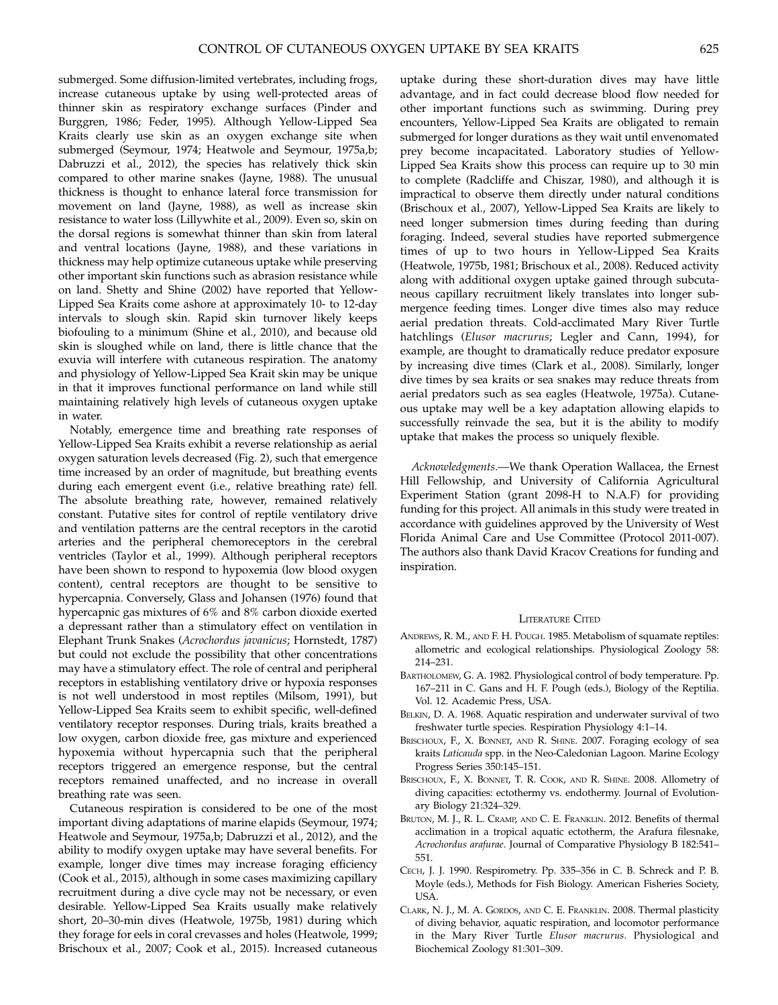submerged. Some diffusion-limited vertebrates, including frogs, increase cutaneous uptake by using well-protected areas of thinner skin as respiratory exchange surfaces (Pinder and Burggren, 1986; Feder, 1995). Although Yellow-Lipped Sea Kraits clearly use skin as an oxygen exchange site when submerged (Seymour, 1974; Heatwole and Seymour, 1975a,b; Dabruzzi et al., 2012), the species has relatively thick skin compared to other marine snakes (Jayne, 1988). The unusual thickness is thought to enhance lateral force transmission for movement on land (Jayne, 1988), as well as increase skin resistance to water loss (Lillywhite et al., 2009). Even so, skin on the dorsal regions is somewhat thinner than skin from lateral and ventral locations (Jayne, 1988), and these variations in thickness may help optimize cutaneous uptake while preserving other important skin functions such as abrasion resistance while on land. Shetty and Shine (2002) have reported that Yellow-Lipped Sea Kraits come ashore at approximately 10- to 12-day intervals to slough skin. Rapid skin turnover likely keeps biofouling to a minimum (Shine et al., 2010), and because old skin is sloughed while on land, there is little chance that the exuvia will interfere with cutaneous respiration. The anatomy and physiology of Yellow-Lipped Sea Krait skin may be unique in that it improves functional performance on land while still maintaining relatively high levels of cutaneous oxygen uptake in water.

Notably, emergence time and breathing rate responses of Yellow-Lipped Sea Kraits exhibit a reverse relationship as aerial oxygen saturation levels decreased (Fig. 2), such that emergence time increased by an order of magnitude, but breathing events during each emergent event (i.e., relative breathing rate) fell. The absolute breathing rate, however, remained relatively constant. Putative sites for control of reptile ventilatory drive and ventilation patterns are the central receptors in the carotid arteries and the peripheral chemoreceptors in the cerebral ventricles (Taylor et al., 1999). Although peripheral receptors have been shown to respond to hypoxemia (low blood oxygen content), central receptors are thought to be sensitive to hypercapnia. Conversely, Glass and Johansen (1976) found that hypercapnic gas mixtures of 6% and 8% carbon dioxide exerted a depressant rather than a stimulatory effect on ventilation in Elephant Trunk Snakes (Acrochordus javanicus; Hornstedt, 1787) but could not exclude the possibility that other concentrations may have a stimulatory effect. The role of central and peripheral receptors in establishing ventilatory drive or hypoxia responses is not well understood in most reptiles (Milsom, 1991), but Yellow-Lipped Sea Kraits seem to exhibit specific, well-defined ventilatory receptor responses. During trials, kraits breathed a low oxygen, carbon dioxide free, gas mixture and experienced hypoxemia without hypercapnia such that the peripheral receptors triggered an emergence response, but the central receptors remained unaffected, and no increase in overall breathing rate was seen.

Cutaneous respiration is considered to be one of the most important diving adaptations of marine elapids (Seymour, 1974; Heatwole and Seymour, 1975a,b; Dabruzzi et al., 2012), and the ability to modify oxygen uptake may have several benefits. For example, longer dive times may increase foraging efficiency (Cook et al., 2015), although in some cases maximizing capillary recruitment during a dive cycle may not be necessary, or even desirable. Yellow-Lipped Sea Kraits usually make relatively short, 20–30-min dives (Heatwole, 1975b, 1981) during which they forage for eels in coral crevasses and holes (Heatwole, 1999; Brischoux et al., 2007; Cook et al., 2015). Increased cutaneous

uptake during these short-duration dives may have little advantage, and in fact could decrease blood flow needed for other important functions such as swimming. During prey encounters, Yellow-Lipped Sea Kraits are obligated to remain submerged for longer durations as they wait until envenomated prey become incapacitated. Laboratory studies of Yellow-Lipped Sea Kraits show this process can require up to 30 min to complete (Radcliffe and Chiszar, 1980), and although it is impractical to observe them directly under natural conditions (Brischoux et al., 2007), Yellow-Lipped Sea Kraits are likely to need longer submersion times during feeding than during foraging. Indeed, several studies have reported submergence times of up to two hours in Yellow-Lipped Sea Kraits (Heatwole, 1975b, 1981; Brischoux et al., 2008). Reduced activity along with additional oxygen uptake gained through subcutaneous capillary recruitment likely translates into longer submergence feeding times. Longer dive times also may reduce aerial predation threats. Cold-acclimated Mary River Turtle hatchlings (Elusor macrurus; Legler and Cann, 1994), for example, are thought to dramatically reduce predator exposure by increasing dive times (Clark et al., 2008). Similarly, longer dive times by sea kraits or sea snakes may reduce threats from aerial predators such as sea eagles (Heatwole, 1975a). Cutaneous uptake may well be a key adaptation allowing elapids to successfully reinvade the sea, but it is the ability to modify uptake that makes the process so uniquely flexible.

Acknowledgments.—We thank Operation Wallacea, the Ernest Hill Fellowship, and University of California Agricultural Experiment Station (grant 2098-H to N.A.F) for providing funding for this project. All animals in this study were treated in accordance with guidelines approved by the University of West Florida Animal Care and Use Committee (Protocol 2011-007). The authors also thank David Kracov Creations for funding and inspiration.

### LITERATURE CITED

- ANDREWS, R. M., AND F. H. POUGH. 1985. Metabolism of squamate reptiles: allometric and ecological relationships. Physiological Zoology 58: 214–231.
- BARTHOLOMEW, G. A. 1982. Physiological control of body temperature. Pp. 167–211 in C. Gans and H. F. Pough (eds.), Biology of the Reptilia. Vol. 12. Academic Press, USA.
- BELKIN, D. A. 1968. Aquatic respiration and underwater survival of two freshwater turtle species. Respiration Physiology 4:1–14.
- BRISCHOUX, F., X. BONNET, AND R. SHINE. 2007. Foraging ecology of sea kraits Laticauda spp. in the Neo-Caledonian Lagoon. Marine Ecology Progress Series 350:145–151.
- BRISCHOUX, F., X. BONNET, T. R. COOK, AND R. SHINE. 2008. Allometry of diving capacities: ectothermy vs. endothermy. Journal of Evolutionary Biology 21:324–329.
- BRUTON, M. J., R. L. CRAMP, AND C. E. FRANKLIN. 2012. Benefits of thermal acclimation in a tropical aquatic ectotherm, the Arafura filesnake, Acrochordus arafurae. Journal of Comparative Physiology B 182:541– 551.
- CECH, J. J. 1990. Respirometry. Pp. 335–356 in C. B. Schreck and P. B. Moyle (eds.), Methods for Fish Biology. American Fisheries Society, USA.
- CLARK, N. J., M. A. GORDOS, AND C. E. FRANKLIN. 2008. Thermal plasticity of diving behavior, aquatic respiration, and locomotor performance in the Mary River Turtle Elusor macrurus. Physiological and Biochemical Zoology 81:301–309.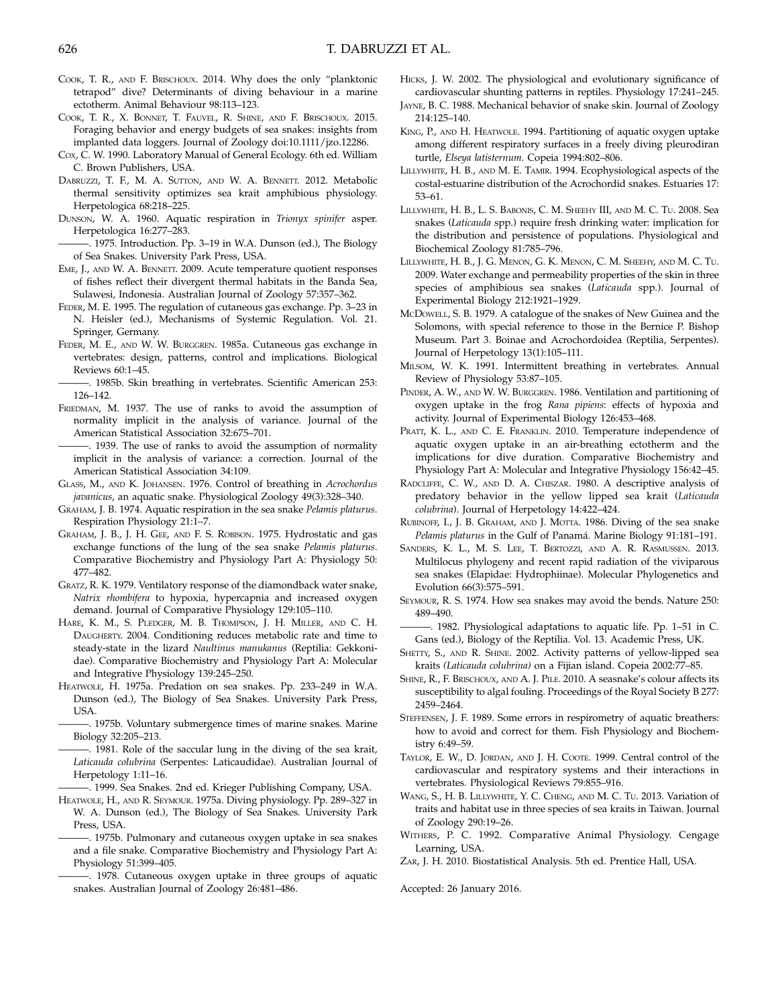- COOK, T. R., AND F. BRISCHOUX. 2014. Why does the only "planktonic tetrapod'' dive? Determinants of diving behaviour in a marine ectotherm. Animal Behaviour 98:113–123.
- COOK, T. R., X. BONNET, T. FAUVEL, R. SHINE, AND F. BRISCHOUX. 2015. Foraging behavior and energy budgets of sea snakes: insights from implanted data loggers. Journal of Zoology doi:10.1111/jzo.12286.
- Cox, C. W. 1990. Laboratory Manual of General Ecology. 6th ed. William C. Brown Publishers, USA.
- DABRUZZI, T. F., M. A. SUTTON, AND W. A. BENNETT. 2012. Metabolic thermal sensitivity optimizes sea krait amphibious physiology. Herpetologica 68:218–225.
- DUNSON, W. A. 1960. Aquatic respiration in Trionyx spinifer asper. Herpetologica 16:277–283.
- -. 1975. Introduction. Pp. 3-19 in W.A. Dunson (ed.), The Biology of Sea Snakes. University Park Press, USA.
- EME, J., AND W. A. BENNETT. 2009. Acute temperature quotient responses of fishes reflect their divergent thermal habitats in the Banda Sea, Sulawesi, Indonesia. Australian Journal of Zoology 57:357–362.
- FEDER, M. E. 1995. The regulation of cutaneous gas exchange. Pp. 3–23 in N. Heisler (ed.), Mechanisms of Systemic Regulation. Vol. 21. Springer, Germany.
- FEDER, M. E., AND W. W. BURGGREN. 1985a. Cutaneous gas exchange in vertebrates: design, patterns, control and implications. Biological Reviews 60:1–45.
- . 1985b. Skin breathing in vertebrates. Scientific American 253: 126–142.
- FRIEDMAN, M. 1937. The use of ranks to avoid the assumption of normality implicit in the analysis of variance. Journal of the American Statistical Association 32:675–701.
- -. 1939. The use of ranks to avoid the assumption of normality implicit in the analysis of variance: a correction. Journal of the American Statistical Association 34:109.
- GLASS, M., AND K. JOHANSEN. 1976. Control of breathing in Acrochordus javanicus, an aquatic snake. Physiological Zoology 49(3):328–340.
- GRAHAM, J. B. 1974. Aquatic respiration in the sea snake Pelamis platurus. Respiration Physiology 21:1–7.
- GRAHAM, J. B., J. H. GEE, AND F. S. ROBISON. 1975. Hydrostatic and gas exchange functions of the lung of the sea snake Pelamis platurus. Comparative Biochemistry and Physiology Part A: Physiology 50: 477–482.
- GRATZ, R. K. 1979. Ventilatory response of the diamondback water snake, Natrix rhombifera to hypoxia, hypercapnia and increased oxygen demand. Journal of Comparative Physiology 129:105–110.
- HARE, K. M., S. PLEDGER, M. B. THOMPSON, J. H. MILLER, AND C. H. DAUGHERTY. 2004. Conditioning reduces metabolic rate and time to steady-state in the lizard Naultinus manukanus (Reptilia: Gekkonidae). Comparative Biochemistry and Physiology Part A: Molecular and Integrative Physiology 139:245–250.
- HEATWOLE, H. 1975a. Predation on sea snakes. Pp. 233–249 in W.A. Dunson (ed.), The Biology of Sea Snakes. University Park Press, USA.
- -. 1975b. Voluntary submergence times of marine snakes. Marine Biology 32:205–213.
- -. 1981. Role of the saccular lung in the diving of the sea krait, Laticauda colubrina (Serpentes: Laticaudidae). Australian Journal of Herpetology 1:11–16.
- -. 1999. Sea Snakes. 2nd ed. Krieger Publishing Company, USA.
- HEATWOLE, H., AND R. SEYMOUR. 1975a. Diving physiology. Pp. 289–327 in W. A. Dunson (ed.), The Biology of Sea Snakes. University Park Press, USA.
- ———. 1975b. Pulmonary and cutaneous oxygen uptake in sea snakes and a file snake. Comparative Biochemistry and Physiology Part A: Physiology 51:399–405.
- -. 1978. Cutaneous oxygen uptake in three groups of aquatic snakes. Australian Journal of Zoology 26:481–486.
- HICKS, J. W. 2002. The physiological and evolutionary significance of cardiovascular shunting patterns in reptiles. Physiology 17:241–245.
- JAYNE, B. C. 1988. Mechanical behavior of snake skin. Journal of Zoology 214:125–140.
- KING, P., AND H. HEATWOLE. 1994. Partitioning of aquatic oxygen uptake among different respiratory surfaces in a freely diving pleurodiran turtle, Elseya latisternum. Copeia 1994:802–806.
- LILLYWHITE, H. B., AND M. E. TAMIR. 1994. Ecophysiological aspects of the costal-estuarine distribution of the Acrochordid snakes. Estuaries 17: 53–61.
- LILLYWHITE, H. B., L. S. BABONIS, C. M. SHEEHY III, AND M. C. TU. 2008. Sea snakes (Laticauda spp.) require fresh drinking water: implication for the distribution and persistence of populations. Physiological and Biochemical Zoology 81:785–796.
- LILLYWHITE, H. B., J. G. MENON, G. K. MENON, C. M. SHEEHY, AND M. C. TU. 2009. Water exchange and permeability properties of the skin in three species of amphibious sea snakes (Laticauda spp.). Journal of Experimental Biology 212:1921–1929.
- MCDOWELL, S. B. 1979. A catalogue of the snakes of New Guinea and the Solomons, with special reference to those in the Bernice P. Bishop Museum. Part 3. Boinae and Acrochordoidea (Reptilia, Serpentes). Journal of Herpetology 13(1):105–111.
- MILSOM, W. K. 1991. Intermittent breathing in vertebrates. Annual Review of Physiology 53:87–105.
- PINDER, A. W., AND W. W. BURGGREN. 1986. Ventilation and partitioning of oxygen uptake in the frog Rana pipiens: effects of hypoxia and activity. Journal of Experimental Biology 126:453–468.
- PRATT, K. L., AND C. E. FRANKLIN. 2010. Temperature independence of aquatic oxygen uptake in an air-breathing ectotherm and the implications for dive duration. Comparative Biochemistry and Physiology Part A: Molecular and Integrative Physiology 156:42–45.
- RADCLIFFE, C. W., AND D. A. CHISZAR. 1980. A descriptive analysis of predatory behavior in the yellow lipped sea krait (Laticauda colubrina). Journal of Herpetology 14:422–424.
- RUBINOFF, I., J. B. GRAHAM, AND J. MOTTA. 1986. Diving of the sea snake Pelamis platurus in the Gulf of Panamá. Marine Biology 91:181-191.
- SANDERS, K. L., M. S. LEE, T. BERTOZZI, AND A. R. RASMUSSEN. 2013. Multilocus phylogeny and recent rapid radiation of the viviparous sea snakes (Elapidae: Hydrophiinae). Molecular Phylogenetics and Evolution 66(3):575–591.
- SEYMOUR, R. S. 1974. How sea snakes may avoid the bends. Nature 250: 489–490.
- -. 1982. Physiological adaptations to aquatic life. Pp. 1-51 in C. Gans (ed.), Biology of the Reptilia. Vol. 13. Academic Press, UK.
- SHETTY, S., AND R. SHINE. 2002. Activity patterns of yellow-lipped sea kraits (Laticauda colubrina) on a Fijian island. Copeia 2002:77–85.
- SHINE, R., F. BRISCHOUX, AND A. J. PILE. 2010. A seasnake's colour affects its susceptibility to algal fouling. Proceedings of the Royal Society B 277: 2459–2464.
- STEFFENSEN, J. F. 1989. Some errors in respirometry of aquatic breathers: how to avoid and correct for them. Fish Physiology and Biochemistry 6:49–59.
- TAYLOR, E. W., D. JORDAN, AND J. H. COOTE. 1999. Central control of the cardiovascular and respiratory systems and their interactions in vertebrates. Physiological Reviews 79:855–916.
- WANG, S., H. B. LILLYWHITE, Y. C. CHENG, AND M. C. TU. 2013. Variation of traits and habitat use in three species of sea kraits in Taiwan. Journal of Zoology 290:19–26.
- WITHERS, P. C. 1992. Comparative Animal Physiology. Cengage Learning, USA.
- ZAR, J. H. 2010. Biostatistical Analysis. 5th ed. Prentice Hall, USA.

Accepted: 26 January 2016.